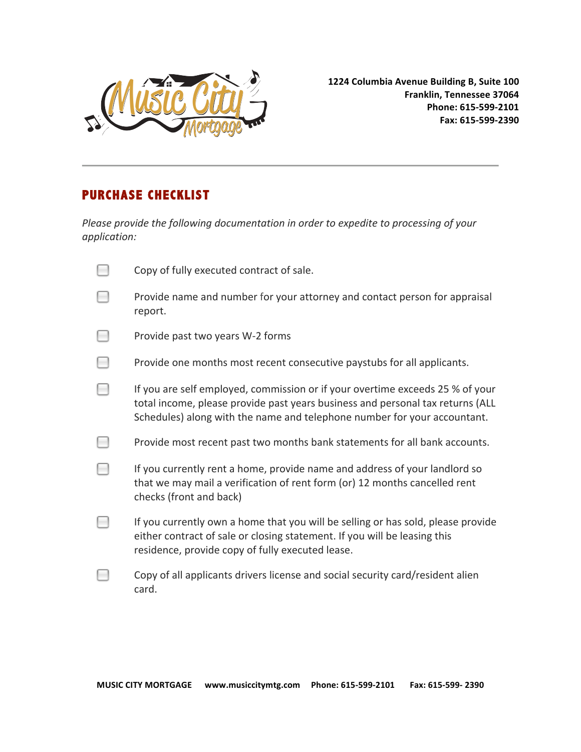

**1224
Columbia
Avenue
Building
B,
Suite
100 Franklin,
Tennessee
37064 Phone:
615‐599‐2101 Fax:
615‐599‐2390**

## **PURCHASE CHECKLIST**

Please provide the following documentation in order to expedite to processing of your *application:*

| Copy of fully executed contract of sale.                                                                                                                                                                                                    |
|---------------------------------------------------------------------------------------------------------------------------------------------------------------------------------------------------------------------------------------------|
| Provide name and number for your attorney and contact person for appraisal<br>report.                                                                                                                                                       |
| Provide past two years W-2 forms                                                                                                                                                                                                            |
| Provide one months most recent consecutive paystubs for all applicants.                                                                                                                                                                     |
| If you are self employed, commission or if your overtime exceeds 25 % of your<br>total income, please provide past years business and personal tax returns (ALL<br>Schedules) along with the name and telephone number for your accountant. |
| Provide most recent past two months bank statements for all bank accounts.                                                                                                                                                                  |
| If you currently rent a home, provide name and address of your landlord so<br>that we may mail a verification of rent form (or) 12 months cancelled rent<br>checks (front and back)                                                         |
| If you currently own a home that you will be selling or has sold, please provide<br>either contract of sale or closing statement. If you will be leasing this<br>residence, provide copy of fully executed lease.                           |
| Copy of all applicants drivers license and social security card/resident alien<br>card.                                                                                                                                                     |